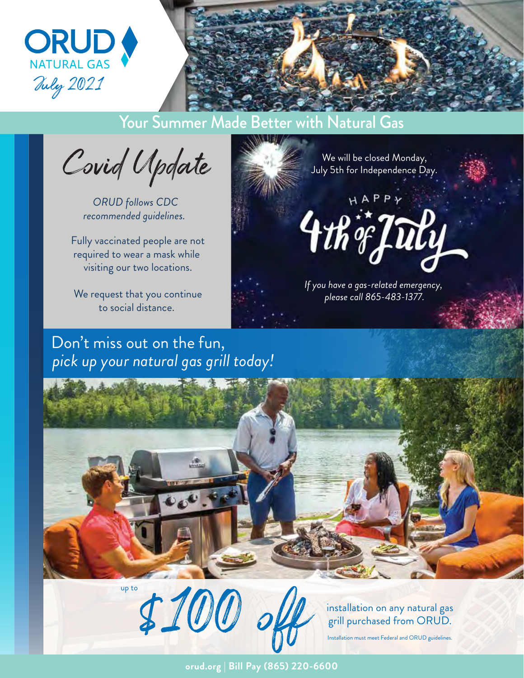

## Your Summer Made Better with Natural Gas

**ANLIE** 

Covid Update

*ORUD follows CDC recommended guidelines.* 

Fully vaccinated people are not required to wear a mask while visiting our two locations.

We request that you continue to social distance.

## Don't miss out on the fun, *pick up your natural gas grill today!*

We will be closed Monday, July 5th for Independence Day. HAPPY 4th of July *If you have a gas-related emergency, please call 865-483-1377.*

# \$100 up to installation on any natural gas

grill purchased from ORUD. Installation must meet Federal and ORUD guidelines.

**orud.org | Bill Pay (865) 220-6600**